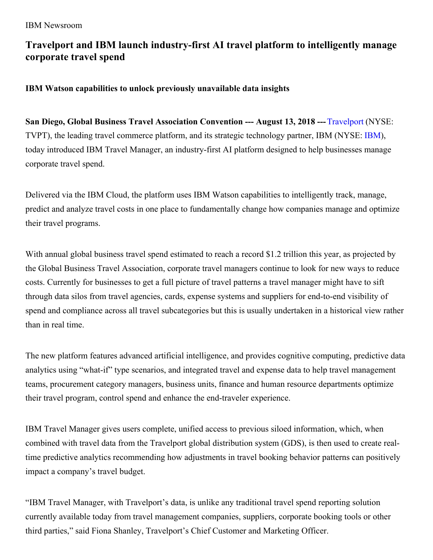# **Travelport and IBM launch industry-first AI travel platform to intelligently manage corporate travel spend**

**IBM Watson capabilities to unlock previously unavailable data insights**

**San Diego, Global Business Travel Association Convention --- August 13, 2018 ---**[Travelport](https://www.travelport.com/) (NYSE: TVPT), the leading travel commerce platform, and its strategic technology partner, IBM (NYSE: [IBM](https://www.ibm.com/investor/)), today introduced IBM Travel Manager, an industry-first AI platform designed to help businesses manage corporate travel spend.

Delivered via the IBM Cloud, the platform uses IBM Watson capabilities to intelligently track, manage, predict and analyze travel costs in one place to fundamentally change how companies manage and optimize their travel programs.

With annual global business travel spend estimated to reach a record \$1.2 trillion this year, as projected by the Global Business Travel Association, corporate travel managers continue to look for new ways to reduce costs. Currently for businesses to get a full picture of travel patterns a travel manager might have to sift through data silos from travel agencies, cards, expense systems and suppliers for end-to-end visibility of spend and compliance across all travel subcategories but this is usually undertaken in a historical view rather than in real time.

The new platform features advanced artificial intelligence, and provides cognitive computing, predictive data analytics using "what-if" type scenarios, and integrated travel and expense data to help travel management teams, procurement category managers, business units, finance and human resource departments optimize their travel program, control spend and enhance the end-traveler experience.

IBM Travel Manager gives users complete, unified access to previous siloed information, which, when combined with travel data from the Travelport global distribution system (GDS), is then used to create realtime predictive analytics recommending how adjustments in travel booking behavior patterns can positively impact a company's travel budget.

"IBM Travel Manager, with Travelport's data, is unlike any traditional travel spend reporting solution currently available today from travel management companies, suppliers, corporate booking tools or other third parties," said Fiona Shanley, Travelport's Chief Customer and Marketing Officer.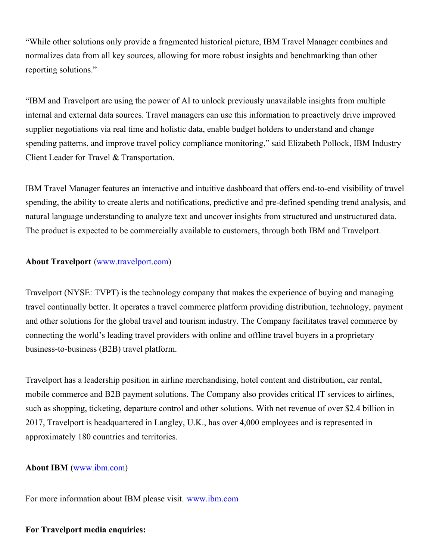"While other solutions only provide a fragmented historical picture, IBM Travel Manager combines and normalizes data from all key sources, allowing for more robust insights and benchmarking than other reporting solutions."

"IBM and Travelport are using the power of AI to unlock previously unavailable insights from multiple internal and external data sources. Travel managers can use this information to proactively drive improved supplier negotiations via real time and holistic data, enable budget holders to understand and change spending patterns, and improve travel policy compliance monitoring," said Elizabeth Pollock, IBM Industry Client Leader for Travel & Transportation.

IBM Travel Manager features an interactive and intuitive dashboard that offers end-to-end visibility of travel spending, the ability to create alerts and notifications, predictive and pre-defined spending trend analysis, and natural language understanding to analyze text and uncover insights from structured and unstructured data. The product is expected to be commercially available to customers, through both IBM and Travelport.

## **About Travelport** [\(www.travelport.com](http://www.travelport.com/))

Travelport (NYSE: TVPT) is the technology company that makes the experience of buying and managing travel continually better. It operates a travel commerce platform providing distribution, technology, payment and other solutions for the global travel and tourism industry. The Company facilitates travel commerce by connecting the world's leading travel providers with online and offline travel buyers in a proprietary business-to-business (B2B) travel platform.

Travelport has a leadership position in airline merchandising, hotel content and distribution, car rental, mobile commerce and B2B payment solutions. The Company also provides critical IT services to airlines, such as shopping, ticketing, departure control and other solutions. With net revenue of over \$2.4 billion in 2017, Travelport is headquartered in Langley, U.K., has over 4,000 employees and is represented in approximately 180 countries and territories.

#### **About IBM** [\(www.ibm.com](http://www.ibm.com))

For more information about IBM please visit. [www.ibm.com](http://www.ibm.com)

# **For Travelport media enquiries:**